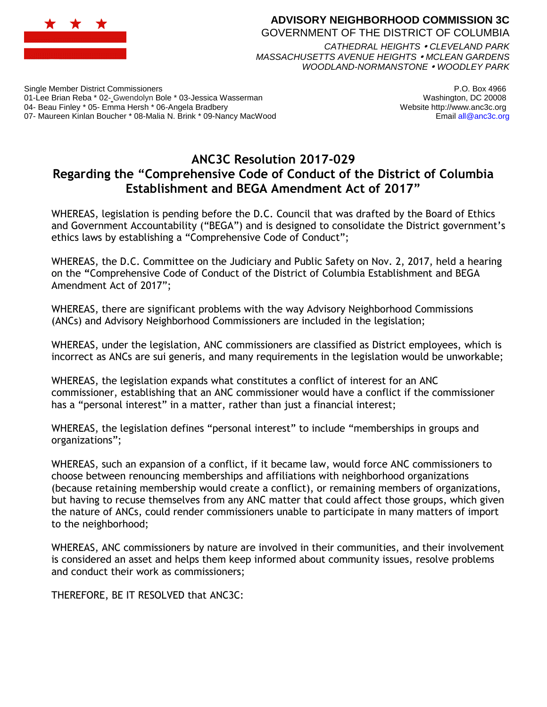

## **ADVISORY NEIGHBORHOOD COMMISSION 3C** GOVERNMENT OF THE DISTRICT OF COLUMBIA

*CATHEDRAL HEIGHTS CLEVELAND PARK MASSACHUSETTS AVENUE HEIGHTS MCLEAN GARDENS WOODLAND-NORMANSTONE WOODLEY PARK*

Single Member District Commissioners 01-Lee Brian Reba \* 02- Gwendolyn Bole \* 03-Jessica Wasserman 04- Beau Finley \* 05- Emma Hersh \* 06-Angela Bradbery 07- Maureen Kinlan Boucher \* 08-Malia N. Brink \* 09-Nancy MacWood

P.O. Box 4966 Washington, DC 20008 Website http://www.anc3c.org Email all@anc3c.org

## **ANC3C Resolution 2017-029 Regarding the "Comprehensive Code of Conduct of the District of Columbia Establishment and BEGA Amendment Act of 2017"**

WHEREAS, legislation is pending before the D.C. Council that was drafted by the Board of Ethics and Government Accountability ("BEGA") and is designed to consolidate the District government's ethics laws by establishing a "Comprehensive Code of Conduct";

WHEREAS, the D.C. Committee on the Judiciary and Public Safety on Nov. 2, 2017, held a hearing on the **"**Comprehensive Code of Conduct of the District of Columbia Establishment and BEGA Amendment Act of 2017";

WHEREAS, there are significant problems with the way Advisory Neighborhood Commissions (ANCs) and Advisory Neighborhood Commissioners are included in the legislation;

WHEREAS, under the legislation, ANC commissioners are classified as District employees, which is incorrect as ANCs are sui generis, and many requirements in the legislation would be unworkable;

WHEREAS, the legislation expands what constitutes a conflict of interest for an ANC commissioner, establishing that an ANC commissioner would have a conflict if the commissioner has a "personal interest" in a matter, rather than just a financial interest;

WHEREAS, the legislation defines "personal interest" to include "memberships in groups and organizations";

WHEREAS, such an expansion of a conflict, if it became law, would force ANC commissioners to choose between renouncing memberships and affiliations with neighborhood organizations (because retaining membership would create a conflict), or remaining members of organizations, but having to recuse themselves from any ANC matter that could affect those groups, which given the nature of ANCs, could render commissioners unable to participate in many matters of import to the neighborhood;

WHEREAS, ANC commissioners by nature are involved in their communities, and their involvement is considered an asset and helps them keep informed about community issues, resolve problems and conduct their work as commissioners;

THEREFORE, BE IT RESOLVED that ANC3C: